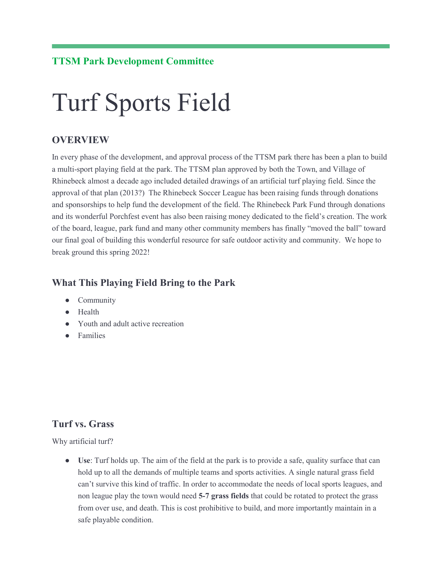## **TTSM Park Development Committee**

# Turf Sports Field

## **OVERVIEW**

In every phase of the development, and approval process of the TTSM park there has been a plan to build a multi-sport playing field at the park. The TTSM plan approved by both the Town, and Village of Rhinebeck almost a decade ago included detailed drawings of an artificial turf playing field. Since the approval of that plan (2013?) The Rhinebeck Soccer League has been raising funds through donations and sponsorships to help fund the development of the field. The Rhinebeck Park Fund through donations and its wonderful Porchfest event has also been raising money dedicated to the field's creation. The work of the board, league, park fund and many other community members has finally "moved the ball" toward our final goal of building this wonderful resource for safe outdoor activity and community. We hope to break ground this spring 2022!

#### **What This Playing Field Bring to the Park**

- Community
- Health
- Youth and adult active recreation
- Families

### **Turf vs. Grass**

Why artificial turf?

● **Use**: Turf holds up. The aim of the field at the park is to provide a safe, quality surface that can hold up to all the demands of multiple teams and sports activities. A single natural grass field can't survive this kind of traffic. In order to accommodate the needs of local sports leagues, and non league play the town would need **5-7 grass fields** that could be rotated to protect the grass from over use, and death. This is cost prohibitive to build, and more importantly maintain in a safe playable condition.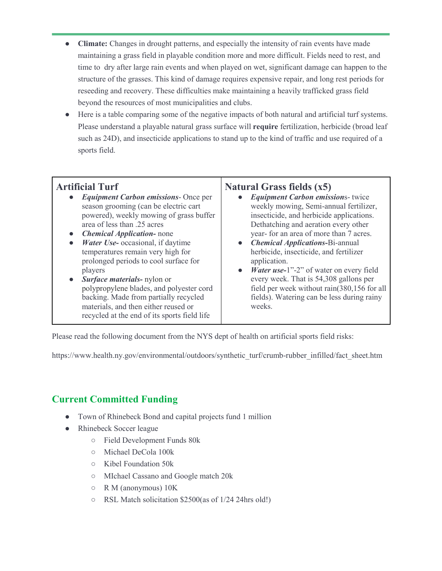- **Climate:** Changes in drought patterns, and especially the intensity of rain events have made maintaining a grass field in playable condition more and more difficult. Fields need to rest, and time to dry after large rain events and when played on wet, significant damage can happen to the structure of the grasses. This kind of damage requires expensive repair, and long rest periods for reseeding and recovery. These difficulties make maintaining a heavily trafficked grass field beyond the resources of most municipalities and clubs.
- Here is a table comparing some of the negative impacts of both natural and artificial turf systems. Please understand a playable natural grass surface will **require** fertilization, herbicide (broad leaf such as 24D), and insecticide applications to stand up to the kind of traffic and use required of a sports field.

## **Artificial Turf**

- *Equipment Carbon emissions* Once per season grooming (can be electric cart powered), weekly mowing of grass buffer area of less than .25 acres
- *Chemical Application-* none
- *Water Use-* occasional, if daytime temperatures remain very high for prolonged periods to cool surface for players
- *Surface materials-* nylon or polypropylene blades, and polyester cord backing. Made from partially recycled materials, and then either reused or recycled at the end of its sports field life

## **Natural Grass fields (x5)**

- *Equipment Carbon emission*s- twice weekly mowing, Semi-annual fertilizer, insecticide, and herbicide applications. Dethatching and aeration every other year- for an area of more than 7 acres.
- *Chemical Applications-*Bi-annual herbicide, insecticide, and fertilizer application.
- *Water use-*1"-2" of water on every field every week. That is 54,308 gallons per field per week without rain(380,156 for all fields). Watering can be less during rainy weeks.

Please read the following document from the NYS dept of health on artificial sports field risks:

https://www.health.ny.gov/environmental/outdoors/synthetic\_turf/crumb-rubber\_infilled/fact\_sheet.htm

## **Current Committed Funding**

- Town of Rhinebeck Bond and capital projects fund 1 million
- Rhinebeck Soccer league
	- Field Development Funds 80k
	- Michael DeCola 100k
	- Kibel Foundation 50k
	- MIchael Cassano and Google match 20k
	- R M (anonymous) 10K
	- RSL Match solicitation \$2500(as of 1/24 24hrs old!)